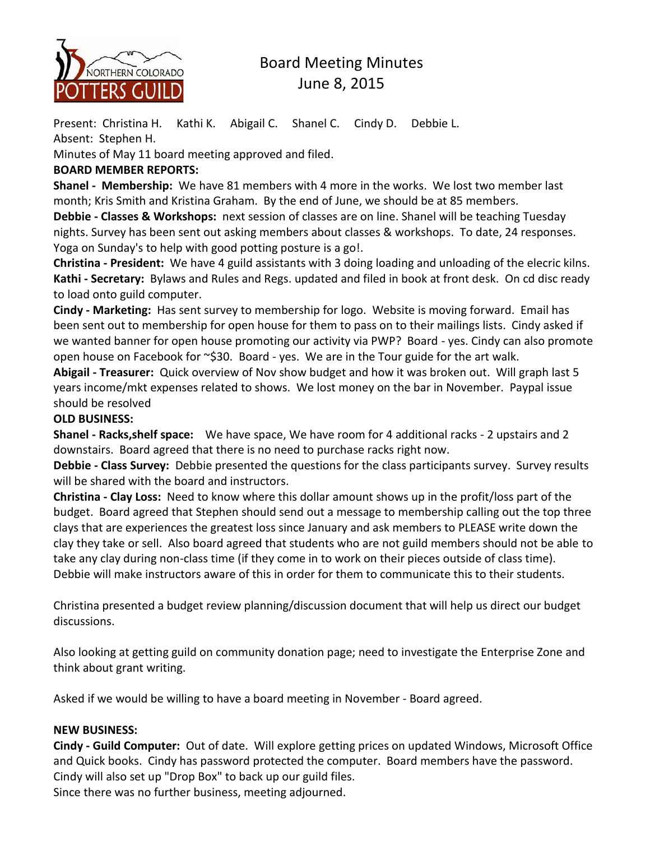

# Board Meeting Minutes June 8, 2015

Present: Christina H. Kathi K. Abigail C. Shanel C. Cindy D. Debbie L. Absent: Stephen H.

Minutes of May 11 board meeting approved and filed.

## **BOARD MEMBER REPORTS:**

**Shanel - Membership:** We have 81 members with 4 more in the works. We lost two member last month; Kris Smith and Kristina Graham. By the end of June, we should be at 85 members.

**Debbie - Classes & Workshops:** next session of classes are on line. Shanel will be teaching Tuesday nights. Survey has been sent out asking members about classes & workshops. To date, 24 responses. Yoga on Sunday's to help with good potting posture is a go!.

**Christina - President:** We have 4 guild assistants with 3 doing loading and unloading of the elecric kilns. **Kathi - Secretary:** Bylaws and Rules and Regs. updated and filed in book at front desk. On cd disc ready to load onto guild computer.

**Cindy - Marketing:** Has sent survey to membership for logo. Website is moving forward. Email has been sent out to membership for open house for them to pass on to their mailings lists. Cindy asked if we wanted banner for open house promoting our activity via PWP? Board - yes. Cindy can also promote open house on Facebook for ~\$30. Board - yes. We are in the Tour guide for the art walk.

**Abigail - Treasurer:** Quick overview of Nov show budget and how it was broken out. Will graph last 5 years income/mkt expenses related to shows. We lost money on the bar in November. Paypal issue should be resolved

## **OLD BUSINESS:**

**Shanel - Racks,shelf space:** We have space, We have room for 4 additional racks - 2 upstairs and 2 downstairs. Board agreed that there is no need to purchase racks right now.

**Debbie - Class Survey:** Debbie presented the questions for the class participants survey. Survey results will be shared with the board and instructors.

**Christina - Clay Loss:** Need to know where this dollar amount shows up in the profit/loss part of the budget. Board agreed that Stephen should send out a message to membership calling out the top three clays that are experiences the greatest loss since January and ask members to PLEASE write down the clay they take or sell. Also board agreed that students who are not guild members should not be able to take any clay during non-class time (if they come in to work on their pieces outside of class time). Debbie will make instructors aware of this in order for them to communicate this to their students.

Christina presented a budget review planning/discussion document that will help us direct our budget discussions.

Also looking at getting guild on community donation page; need to investigate the Enterprise Zone and think about grant writing.

Asked if we would be willing to have a board meeting in November - Board agreed.

### **NEW BUSINESS:**

**Cindy - Guild Computer:** Out of date. Will explore getting prices on updated Windows, Microsoft Office and Quick books. Cindy has password protected the computer. Board members have the password. Cindy will also set up "Drop Box" to back up our guild files.

Since there was no further business, meeting adjourned.